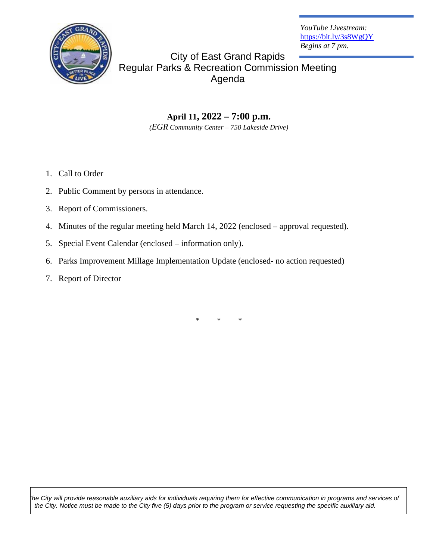

*YouTube Livestream:* https://bit.ly/3s8WgQY *Begins at 7 pm.*

City of East Grand Rapids Regular Parks & Recreation Commission Meeting Agenda

> **April 11, 2022 – 7:00 p.m.** *(EGR Community Center – 750 Lakeside Drive)*

- 1. Call to Order
- 2. Public Comment by persons in attendance.
- 3. Report of Commissioners.
- 4. Minutes of the regular meeting held March 14, 2022 (enclosed approval requested).
- 5. Special Event Calendar (enclosed information only).
- 6. Parks Improvement Millage Implementation Update (enclosed- no action requested)
- 7. Report of Director

\* \* \*

*The City will provide reasonable auxiliary aids for individuals requiring them for effective communication in programs and services of the City. Notice must be made to the City five (5) days prior to the program or service requesting the specific auxiliary aid.*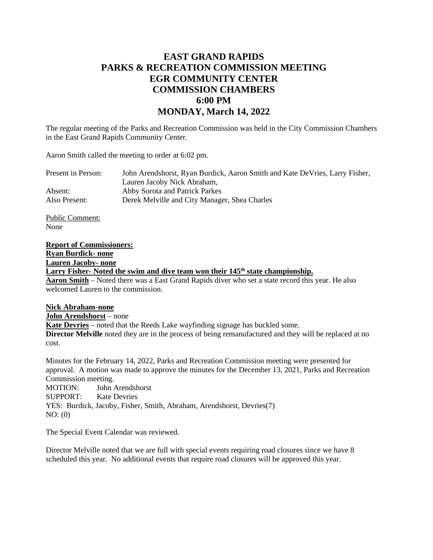## **EAST GRAND RAPIDS PARKS & RECREATION COMMISSION MEETING EGR COMMUNITY CENTER COMMISSION CHAMBERS 6:00 PM MONDAY, March 14, 2022**

The regular meeting of the Parks and Recreation Commission was held in the City Commission Chambers in the East Grand Rapids Community Center.

Aaron Smith called the meeting to order at 6:02 pm.

| John Arendshorst, Ryan Burdick, Aaron Smith and Kate DeVries, Larry Fisher, |
|-----------------------------------------------------------------------------|
|                                                                             |
|                                                                             |
|                                                                             |
|                                                                             |

Public Comment: None

#### **Report of Commissioners:**

**Ryan Burdick- none**

**Lauren Jacoby- none**

Larry Fisher- Noted the swim and dive team won their 145<sup>th</sup> state championship.

**Aaron Smith** – Noted there was a East Grand Rapids diver who set a state record this year. He also welcomed Lauren to the commission.

### **Nick Abraham-none**

**John Arendshorst** – none **Kate Devries** – noted that the Reeds Lake wayfinding signage has buckled some. **Director Melville** noted they are in the process of being remanufactured and they will be replaced at no cost.

Minutes for the February 14, 2022, Parks and Recreation Commission meeting were presented for approval. A motion was made to approve the minutes for the December 13, 2021, Parks and Recreation Commission meeting. MOTION: John Arendshorst

SUPPORT: Kate Devries YES: Burdick, Jacoby, Fisher, Smith, Abraham, Arendshorst, Devries(7) NO: (0)

The Special Event Calendar was reviewed.

Director Melville noted that we are full with special events requiring road closures since we have 8 scheduled this year. No additional events that require road closures will be approved this year.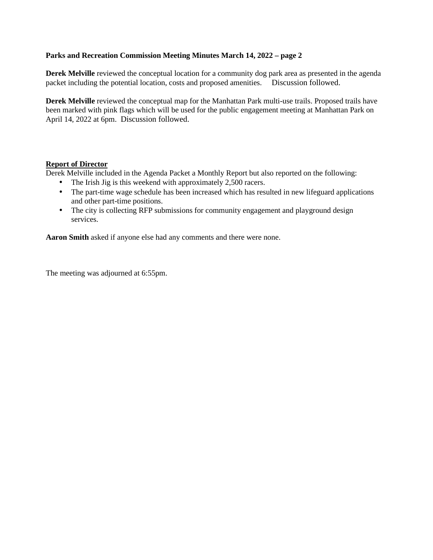### **Parks and Recreation Commission Meeting Minutes March 14, 2022 – page 2**

**Derek Melville** reviewed the conceptual location for a community dog park area as presented in the agenda packet including the potential location, costs and proposed amenities. Discussion followed.

**Derek Melville** reviewed the conceptual map for the Manhattan Park multi-use trails. Proposed trails have been marked with pink flags which will be used for the public engagement meeting at Manhattan Park on April 14, 2022 at 6pm. Discussion followed.

#### **Report of Director**

Derek Melville included in the Agenda Packet a Monthly Report but also reported on the following:

- The Irish Jig is this weekend with approximately 2,500 racers.  $\mathbf{r}^{\prime}$
- The part-time wage schedule has been increased which has resulted in new lifeguard applications  $\mathbf{r}$  . and other part-time positions.
- The city is collecting RFP submissions for community engagement and playground design  $\mathcal{L}_{\mathcal{A}}$ services.

**Aaron Smith** asked if anyone else had any comments and there were none.

The meeting was adjourned at 6:55pm.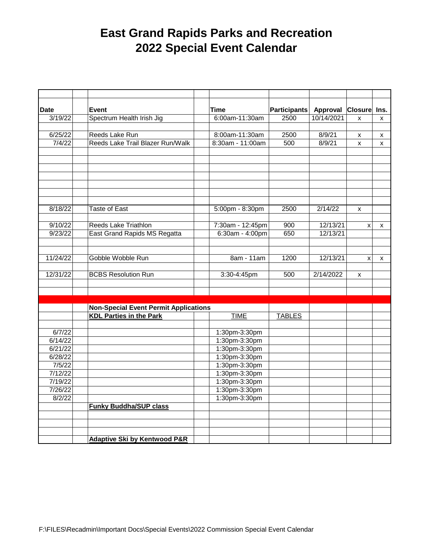## **East Grand Rapids Parks and Recreation 2022 Special Event Calendar**

| <b>Date</b> | Event                                                                                         |  | Time              | Participants | Approval   | <b>Closure</b>     | Ins. |
|-------------|-----------------------------------------------------------------------------------------------|--|-------------------|--------------|------------|--------------------|------|
| 3/19/22     | Spectrum Health Irish Jig                                                                     |  | 6:00am-11:30am    | 2500         | 10/14/2021 | $\pmb{\mathsf{x}}$ | X    |
|             |                                                                                               |  |                   |              |            |                    |      |
| 6/25/22     | Reeds Lake Run                                                                                |  | 8:00am-11:30am    | 2500         | 8/9/21     | X                  | x    |
| 7/4/22      | Reeds Lake Trail Blazer Run/Walk                                                              |  | 8:30am - 11:00am  | 500          | 8/9/21     | x                  | X    |
|             |                                                                                               |  |                   |              |            |                    |      |
|             |                                                                                               |  |                   |              |            |                    |      |
|             |                                                                                               |  |                   |              |            |                    |      |
|             |                                                                                               |  |                   |              |            |                    |      |
|             |                                                                                               |  |                   |              |            |                    |      |
|             |                                                                                               |  |                   |              |            |                    |      |
|             |                                                                                               |  |                   |              |            |                    |      |
| 8/18/22     | Taste of East                                                                                 |  | 5:00pm - 8:30pm   | 2500         | 2/14/22    | X                  |      |
|             |                                                                                               |  |                   |              |            |                    |      |
| 9/10/22     | Reeds Lake Triathlon                                                                          |  | 7:30am - 12:45pm  | 900          | 12/13/21   | X                  | X    |
| 9/23/22     | East Grand Rapids MS Regatta                                                                  |  | $6:30am - 4:00pm$ | 650          | 12/13/21   |                    |      |
|             |                                                                                               |  |                   |              |            |                    |      |
|             |                                                                                               |  |                   |              |            |                    |      |
| 11/24/22    | Gobble Wobble Run                                                                             |  | 8am - 11am        | 1200         | 12/13/21   | X                  | X    |
|             |                                                                                               |  |                   |              |            |                    |      |
| 12/31/22    | <b>BCBS Resolution Run</b>                                                                    |  | 3:30-4:45pm       | 500          | 2/14/2022  | X                  |      |
|             |                                                                                               |  |                   |              |            |                    |      |
|             |                                                                                               |  |                   |              |            |                    |      |
|             |                                                                                               |  |                   |              |            |                    |      |
|             | <b>Non-Special Event Permit Applications</b><br><b>KDL Parties in the Park</b><br><b>TIME</b> |  | <b>TABLES</b>     |              |            |                    |      |
|             |                                                                                               |  |                   |              |            |                    |      |
| 6/7/22      |                                                                                               |  | 1:30pm-3:30pm     |              |            |                    |      |
| 6/14/22     |                                                                                               |  | 1:30pm-3:30pm     |              |            |                    |      |
| 6/21/22     |                                                                                               |  | 1:30pm-3:30pm     |              |            |                    |      |
| 6/28/22     |                                                                                               |  | 1:30pm-3:30pm     |              |            |                    |      |
| 7/5/22      |                                                                                               |  | 1:30pm-3:30pm     |              |            |                    |      |
| 7/12/22     |                                                                                               |  | 1:30pm-3:30pm     |              |            |                    |      |
| 7/19/22     |                                                                                               |  | 1:30pm-3:30pm     |              |            |                    |      |
| 7/26/22     |                                                                                               |  | 1:30pm-3:30pm     |              |            |                    |      |
| 8/2/22      |                                                                                               |  | 1:30pm-3:30pm     |              |            |                    |      |
|             | <b>Funky Buddha/SUP class</b>                                                                 |  |                   |              |            |                    |      |
|             |                                                                                               |  |                   |              |            |                    |      |
|             |                                                                                               |  |                   |              |            |                    |      |
|             |                                                                                               |  |                   |              |            |                    |      |
|             | <b>Adaptive Ski by Kentwood P&amp;R</b>                                                       |  |                   |              |            |                    |      |
|             |                                                                                               |  |                   |              |            |                    |      |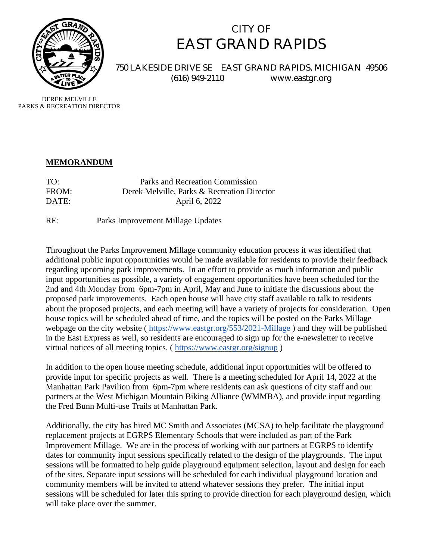

# CITY OF EAST GRAND RAPIDS

750 LAKESIDE DRIVE SE EAST GRAND RAPIDS, MICHIGAN 49506 (616) 949-2110 www.eastgr.org

DEREK MELVILLE PARKS & RECREATION DIRECTOR

### **MEMORANDUM**

| TO:   | Parks and Recreation Commission             |
|-------|---------------------------------------------|
| FROM: | Derek Melville, Parks & Recreation Director |
| DATE: | April 6, 2022                               |

RE: Parks Improvement Millage Updates

Throughout the Parks Improvement Millage community education process it was identified that additional public input opportunities would be made available for residents to provide their feedback regarding upcoming park improvements. In an effort to provide as much information and public input opportunities as possible, a variety of engagement opportunities have been scheduled for the 2nd and 4th Monday from 6pm-7pm in April, May and June to initiate the discussions about the proposed park improvements. Each open house will have city staff available to talk to residents about the proposed projects, and each meeting will have a variety of projects for consideration. Open house topics will be scheduled ahead of time, and the topics will be posted on the Parks Millage webpage on the city website (https://www.eastgr.org/553/2021-Millage) and they will be published in the East Express as well, so residents are encouraged to sign up for the e-newsletter to receive virtual notices of all meeting topics. ( https://www.eastgr.org/signup )

In addition to the open house meeting schedule, additional input opportunities will be offered to provide input for specific projects as well. There is a meeting scheduled for April 14, 2022 at the Manhattan Park Pavilion from 6pm-7pm where residents can ask questions of city staff and our partners at the West Michigan Mountain Biking Alliance (WMMBA), and provide input regarding the Fred Bunn Multi-use Trails at Manhattan Park.

Additionally, the city has hired MC Smith and Associates (MCSA) to help facilitate the playground replacement projects at EGRPS Elementary Schools that were included as part of the Park Improvement Millage. We are in the process of working with our partners at EGRPS to identify dates for community input sessions specifically related to the design of the playgrounds. The input sessions will be formatted to help guide playground equipment selection, layout and design for each of the sites. Separate input sessions will be scheduled for each individual playground location and community members will be invited to attend whatever sessions they prefer. The initial input sessions will be scheduled for later this spring to provide direction for each playground design, which will take place over the summer.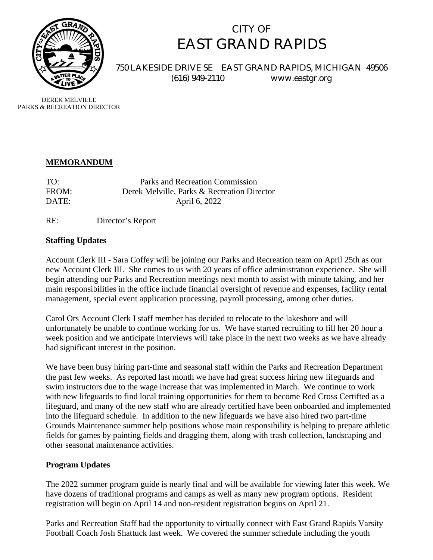

# CITY OF EAST GRAND RAPIDS

750 LAKESIDE DRIVE SE EAST GRAND RAPIDS, MICHIGAN 49506 (616) 949-2110 www.eastgr.org

DEREK MELVILLE PARKS & RECREATION DIRECTOR

### **MEMORANDUM**

| TO:   | Parks and Recreation Commission             |
|-------|---------------------------------------------|
| FROM: | Derek Melville, Parks & Recreation Director |
| DATE: | April 6, 2022                               |

RE: Director's Report

### **Staffing Updates**

Account Clerk III - Sara Coffey will be joining our Parks and Recreation team on April 25th as our new Account Clerk III. She comes to us with 20 years of office administration experience. She will begin attending our Parks and Recreation meetings next month to assist with minute taking, and her main responsibilities in the office include financial oversight of revenue and expenses, facility rental management, special event application processing, payroll processing, among other duties.

Carol Ors Account Clerk I staff member has decided to relocate to the lakeshore and will unfortunately be unable to continue working for us. We have started recruiting to fill her 20 hour a week position and we anticipate interviews will take place in the next two weeks as we have already had significant interest in the position.

We have been busy hiring part-time and seasonal staff within the Parks and Recreation Department the past few weeks. As reported last month we have had great success hiring new lifeguards and swim instructors due to the wage increase that was implemented in March. We continue to work with new lifeguards to find local training opportunities for them to become Red Cross Certifted as a lifeguard, and many of the new staff who are already certified have been onboarded and implemented into the lifeguard schedule. In addition to the new lifeguards we have also hired two part-time Grounds Maintenance summer help positions whose main responsibility is helping to prepare athletic fields for games by painting fields and dragging them, along with trash collection, landscaping and other seasonal maintenance activities.

## **Program Updates**

The 2022 summer program guide is nearly final and will be available for viewing later this week. We have dozens of traditional programs and camps as well as many new program options. Resident registration will begin on April 14 and non-resident registration begins on April 21.

Parks and Recreation Staff had the opportunity to virtually connect with East Grand Rapids Varsity Football Coach Josh Shattuck last week. We covered the summer schedule including the youth